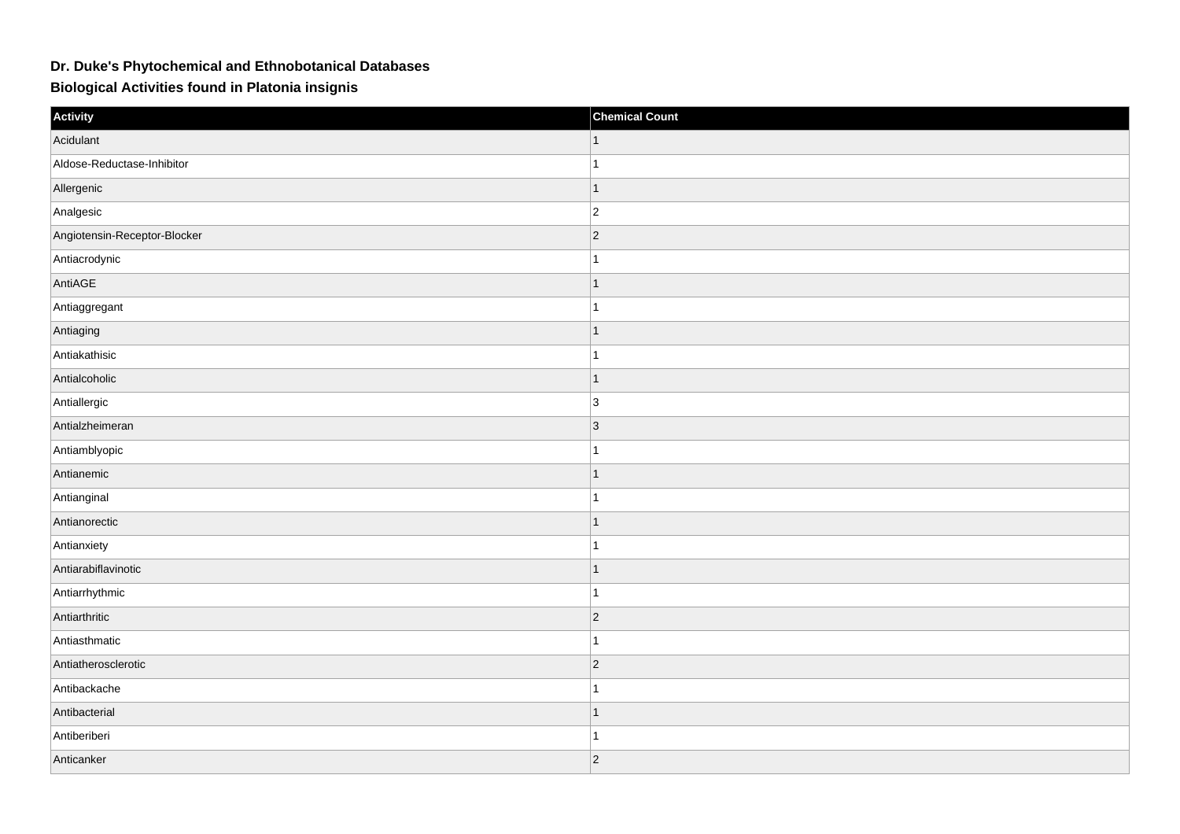## **Dr. Duke's Phytochemical and Ethnobotanical Databases**

**Biological Activities found in Platonia insignis**

| Activity                     | <b>Chemical Count</b> |
|------------------------------|-----------------------|
| Acidulant                    |                       |
| Aldose-Reductase-Inhibitor   |                       |
| Allergenic                   | $\mathbf{1}$          |
| Analgesic                    | $ 2\rangle$           |
| Angiotensin-Receptor-Blocker | $\vert$ 2             |
| Antiacrodynic                | $\overline{1}$        |
| AntiAGE                      | $\overline{1}$        |
| Antiaggregant                | $\overline{1}$        |
| Antiaging                    | $\mathbf{1}$          |
| Antiakathisic                | $\overline{1}$        |
| Antialcoholic                | $\mathbf{1}$          |
| Antiallergic                 | 3                     |
| Antialzheimeran              | $ 3\rangle$           |
| Antiamblyopic                |                       |
| Antianemic                   | $\overline{1}$        |
| Antianginal                  | $\overline{1}$        |
| Antianorectic                | $\mathbf{1}$          |
| Antianxiety                  |                       |
| Antiarabiflavinotic          | $\overline{1}$        |
| Antiarrhythmic               | $-1$                  |
| Antiarthritic                | $\overline{2}$        |
| Antiasthmatic                | $\overline{1}$        |
| Antiatherosclerotic          | $\vert$ 2             |
| Antibackache                 |                       |
| Antibacterial                | $\overline{1}$        |
| Antiberiberi                 | 1                     |
| Anticanker                   | $ 2\rangle$           |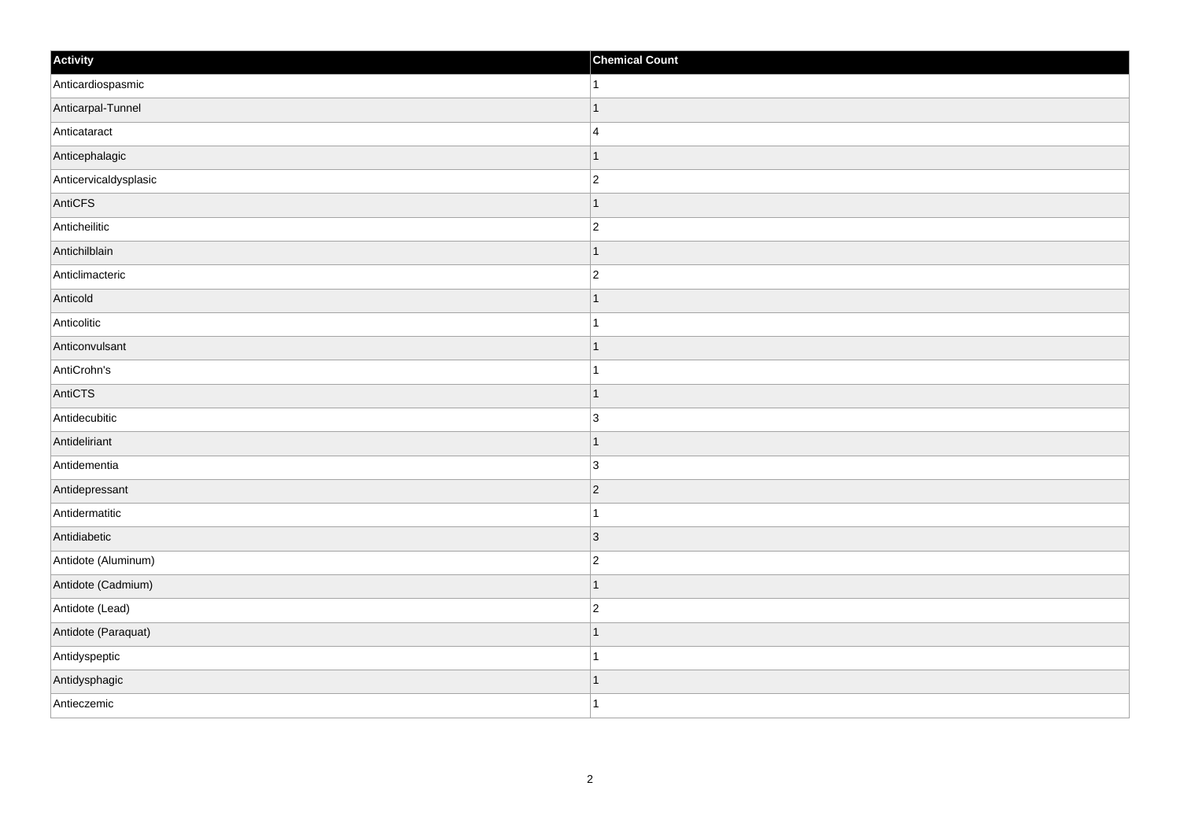| Activity              | <b>Chemical Count</b> |
|-----------------------|-----------------------|
| Anticardiospasmic     | 1                     |
| Anticarpal-Tunnel     |                       |
| Anticataract          | $\overline{4}$        |
| Anticephalagic        | 1                     |
| Anticervicaldysplasic | $\overline{c}$        |
| AntiCFS               |                       |
| Anticheilitic         | $\overline{2}$        |
| Antichilblain         |                       |
| Anticlimacteric       | $\overline{c}$        |
| Anticold              | -1                    |
| Anticolitic           | 1                     |
| Anticonvulsant        |                       |
| AntiCrohn's           |                       |
| AntiCTS               |                       |
| Antidecubitic         | 3                     |
| Antideliriant         | $\vert$ 1             |
| Antidementia          | $\overline{3}$        |
| Antidepressant        | $\vert$ 2             |
| Antidermatitic        | 1                     |
| Antidiabetic          | $\vert$ 3             |
| Antidote (Aluminum)   | $\overline{c}$        |
| Antidote (Cadmium)    | 1                     |
| Antidote (Lead)       | $\overline{2}$        |
| Antidote (Paraquat)   |                       |
| Antidyspeptic         |                       |
| Antidysphagic         | -1                    |
| Antieczemic           | 1                     |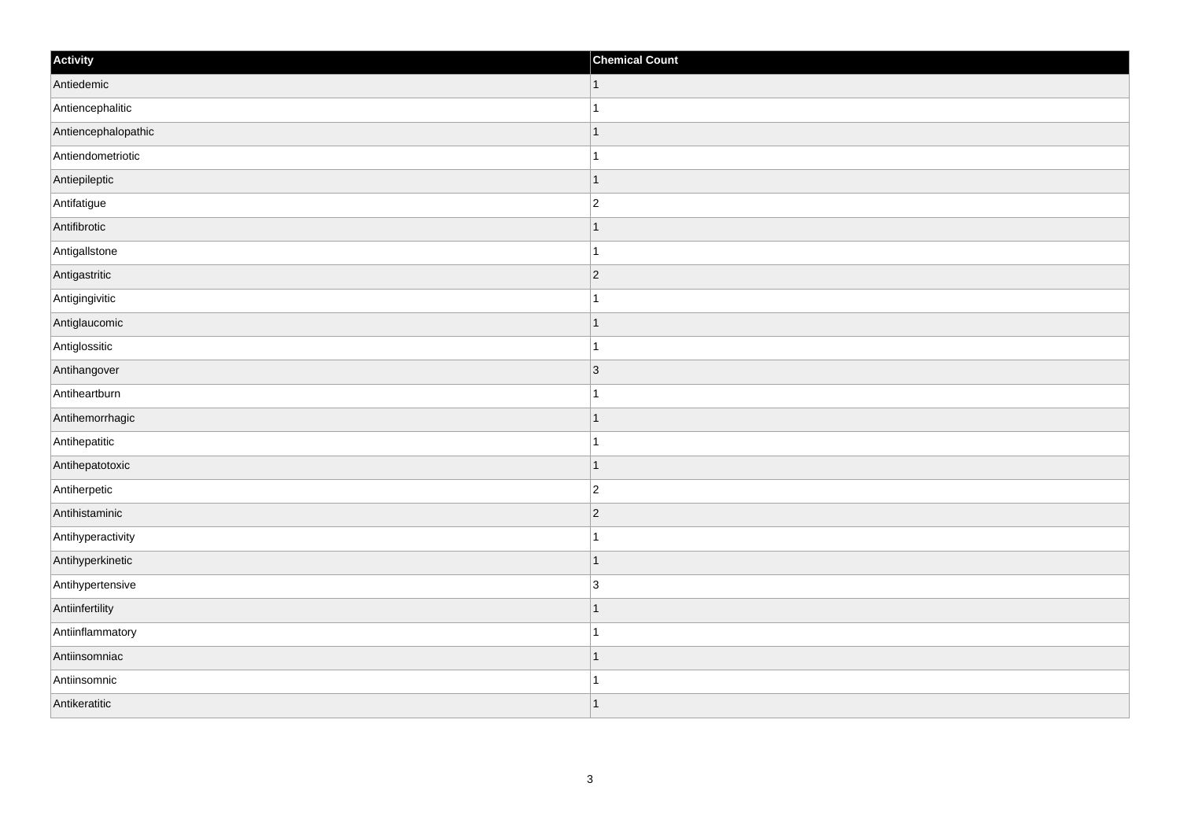| Activity            | <b>Chemical Count</b> |
|---------------------|-----------------------|
| Antiedemic          | $\vert$ 1             |
| Antiencephalitic    | $\overline{1}$        |
| Antiencephalopathic | 1                     |
| Antiendometriotic   | 1                     |
| Antiepileptic       | $\mathbf 1$           |
| Antifatigue         | $\overline{c}$        |
| Antifibrotic        | $\vert$ 1             |
| Antigallstone       | $\overline{1}$        |
| Antigastritic       | $ 2\rangle$           |
| Antigingivitic      | $\mathbf{1}$          |
| Antiglaucomic       | $\overline{1}$        |
| Antiglossitic       | 1                     |
| Antihangover        | 3                     |
| Antiheartburn       | $\mathbf 1$           |
| Antihemorrhagic     | $\mathbf 1$           |
| Antihepatitic       | $\mathbf{1}$          |
| Antihepatotoxic     | $\overline{1}$        |
| Antiherpetic        | $ 2\rangle$           |
| Antihistaminic      | $ 2\rangle$           |
| Antihyperactivity   | $\mathbf 1$           |
| Antihyperkinetic    | $\vert$ 1             |
| Antihypertensive    | $\overline{3}$        |
| Antiinfertility     | $\mathbf 1$           |
| Antiinflammatory    | $\mathbf{1}$          |
| Antiinsomniac       | $\mathbf 1$           |
| Antiinsomnic        | 1                     |
| Antikeratitic       | 1                     |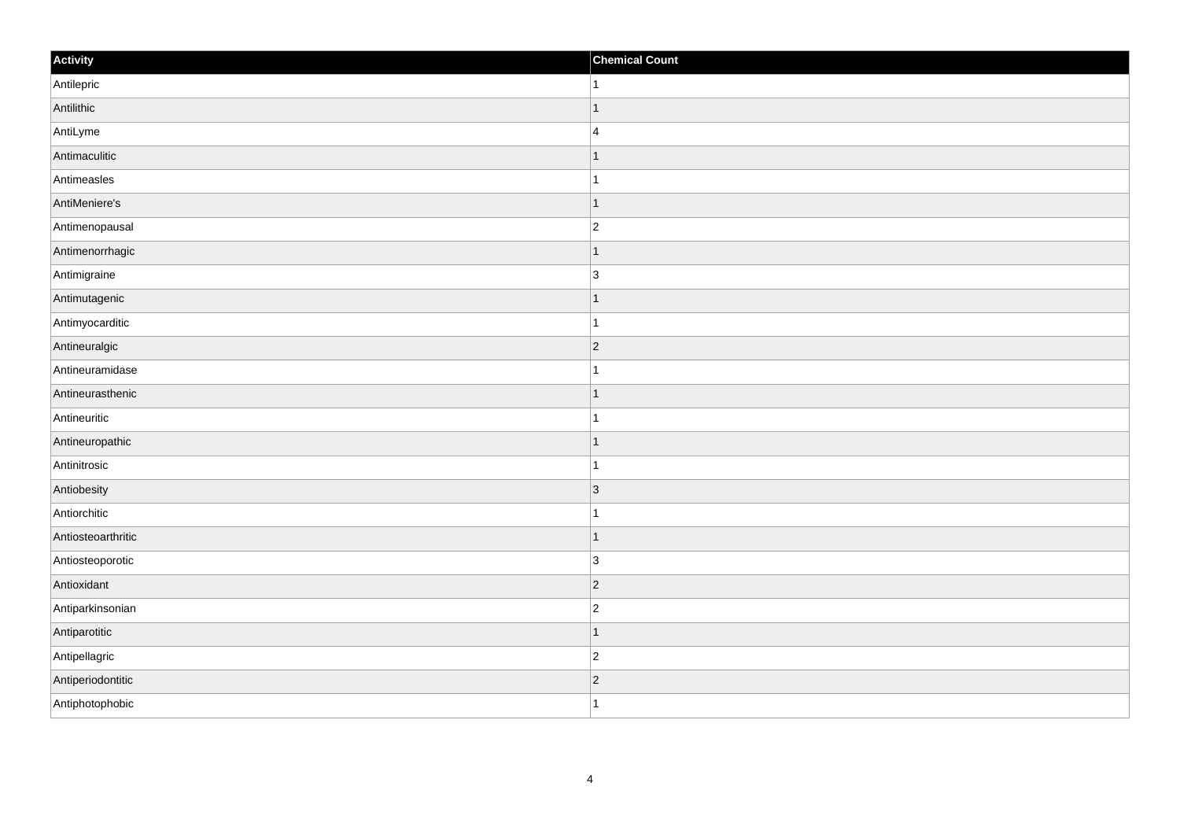| Activity           | <b>Chemical Count</b> |
|--------------------|-----------------------|
| Antilepric         | $\vert$ 1             |
| Antilithic         | $\overline{1}$        |
| AntiLyme           | $\overline{4}$        |
| Antimaculitic      | $\overline{1}$        |
| Antimeasles        | $\mathbf{1}$          |
| AntiMeniere's      | $\mathbf 1$           |
| Antimenopausal     | $\overline{2}$        |
| Antimenorrhagic    | $\mathbf 1$           |
| Antimigraine       | $\overline{3}$        |
| Antimutagenic      | $\vert$ 1             |
| Antimyocarditic    | $\overline{1}$        |
| Antineuralgic      | $ 2\rangle$           |
| Antineuramidase    | $\mathbf{1}$          |
| Antineurasthenic   | $\mathbf 1$           |
| Antineuritic       | 1                     |
| Antineuropathic    | $\vert$ 1             |
| Antinitrosic       | $\mathbf 1$           |
| Antiobesity        | 3                     |
| Antiorchitic       | $\mathbf 1$           |
| Antiosteoarthritic | $\vert$ 1             |
| Antiosteoporotic   | 3                     |
| Antioxidant        | $ 2\rangle$           |
| Antiparkinsonian   | $\overline{c}$        |
| Antiparotitic      | $\mathbf 1$           |
| Antipellagric      | $ 2\rangle$           |
| Antiperiodontitic  | $ 2\rangle$           |
| Antiphotophobic    | $\overline{1}$        |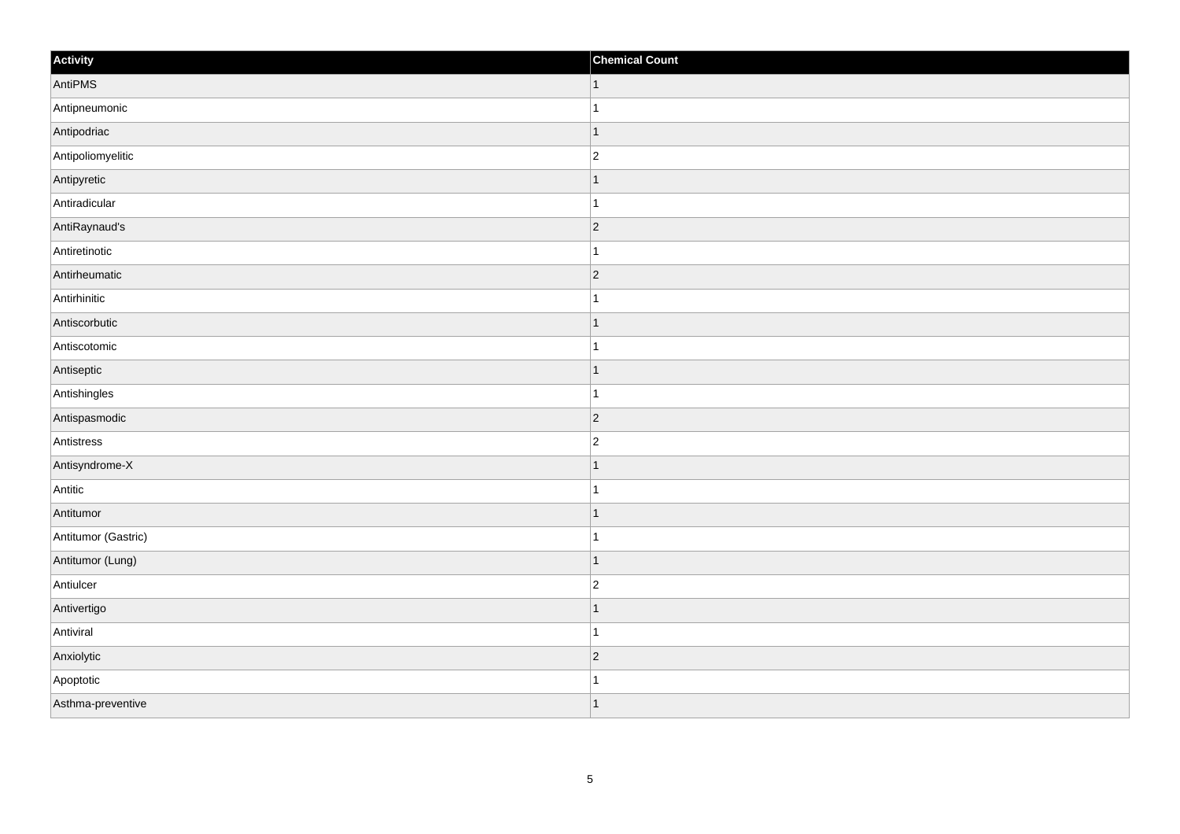| Activity            | <b>Chemical Count</b>    |
|---------------------|--------------------------|
| AntiPMS             | $\vert$ 1                |
| Antipneumonic       |                          |
| Antipodriac         | $\overline{\phantom{a}}$ |
| Antipoliomyelitic   | $\overline{c}$           |
| Antipyretic         |                          |
| Antiradicular       |                          |
| AntiRaynaud's       | $\vert$ 2                |
| Antiretinotic       | 1                        |
| Antirheumatic       | 2                        |
| Antirhinitic        | -1                       |
| Antiscorbutic       | $\mathbf 1$              |
| Antiscotomic        |                          |
| Antiseptic          | ∣ 1                      |
| Antishingles        | $\overline{1}$           |
| Antispasmodic       | $ 2\rangle$              |
| Antistress          | $\vert$ 2                |
| Antisyndrome-X      | $\overline{\phantom{a}}$ |
| Antitic             |                          |
| Antitumor           | $\vert$ 1                |
| Antitumor (Gastric) | 1                        |
| Antitumor (Lung)    | $\overline{1}$           |
| Antiulcer           | $\overline{c}$           |
| Antivertigo         | $\overline{\phantom{a}}$ |
| Antiviral           | 1                        |
| Anxiolytic          | $ 2\rangle$              |
| Apoptotic           |                          |
| Asthma-preventive   | $\overline{\phantom{a}}$ |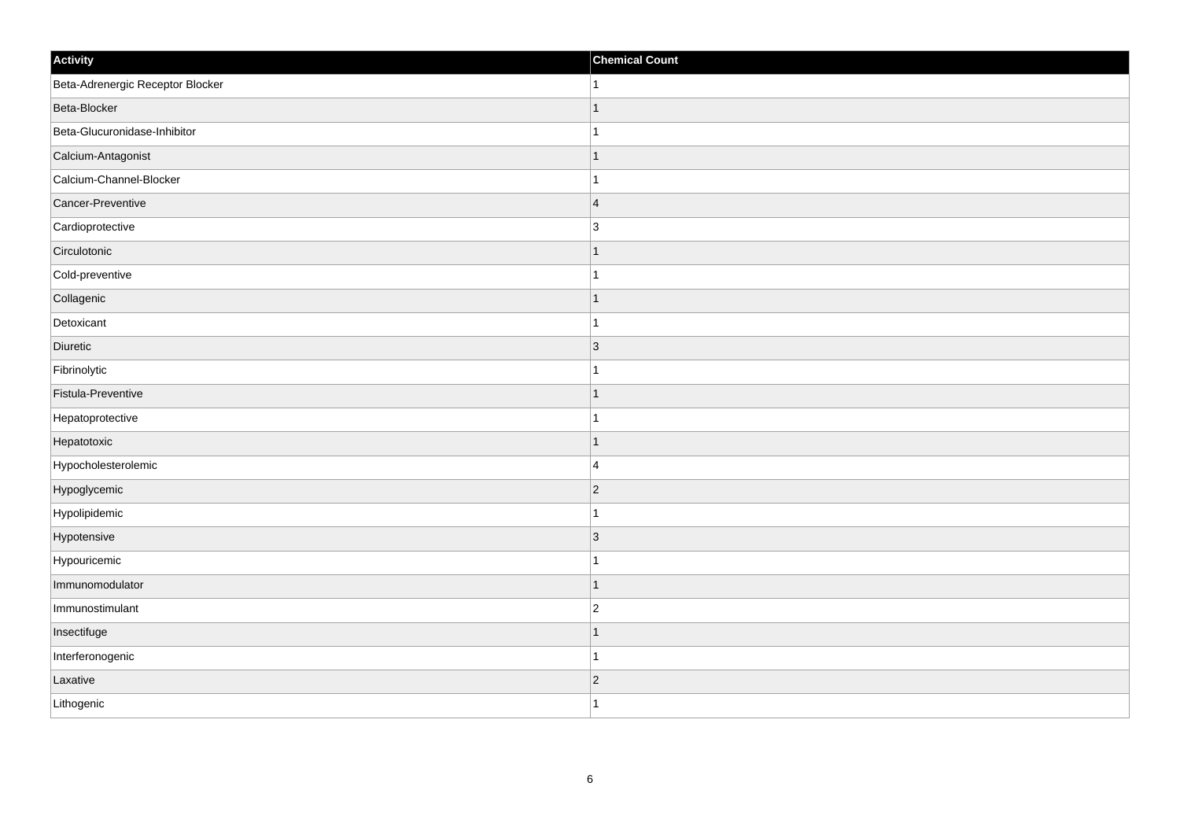| Activity                         | <b>Chemical Count</b> |
|----------------------------------|-----------------------|
| Beta-Adrenergic Receptor Blocker | $\mathbf{1}$          |
| Beta-Blocker                     |                       |
| Beta-Glucuronidase-Inhibitor     |                       |
| Calcium-Antagonist               | $\overline{1}$        |
| Calcium-Channel-Blocker          | $\overline{1}$        |
| Cancer-Preventive                | $\overline{4}$        |
| Cardioprotective                 | 3                     |
| Circulotonic                     |                       |
| Cold-preventive                  |                       |
| Collagenic                       | $\mathbf 1$           |
| Detoxicant                       | $\mathbf{1}$          |
| Diuretic                         | $ 3\rangle$           |
| Fibrinolytic                     | 1                     |
| Fistula-Preventive               |                       |
| Hepatoprotective                 |                       |
| Hepatotoxic                      | $\mathbf{1}$          |
| Hypocholesterolemic              | $\overline{4}$        |
| Hypoglycemic                     | $ 2\rangle$           |
| Hypolipidemic                    | $\overline{1}$        |
| Hypotensive                      | $\overline{3}$        |
| Hypouricemic                     |                       |
| Immunomodulator                  | $\mathbf{1}$          |
| Immunostimulant                  | $\overline{c}$        |
| Insectifuge                      |                       |
| Interferonogenic                 | $\overline{1}$        |
| Laxative                         | $ 2\rangle$           |
| Lithogenic                       | $\mathbf{1}$          |